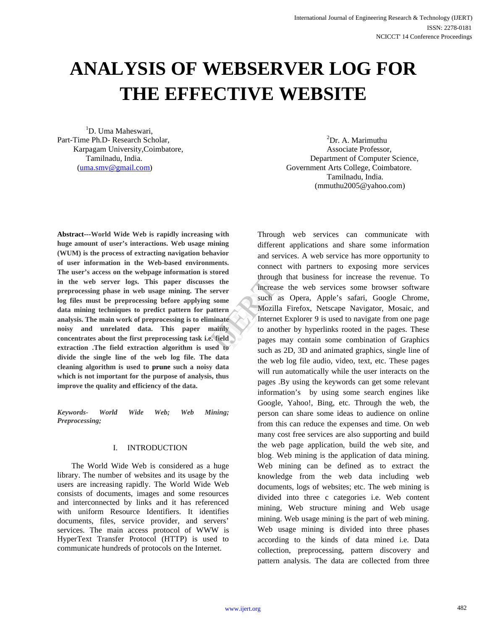# **ANALYSIS OF WEBSERVER LOG FOR THE EFFECTIVE WEBSITE**

<sup>1</sup>D. Uma Maheswari, Part-Time Ph.D- Research Scholar, Karpagam University,Coimbatore, Associate Professor,

 ${}^{2}Dr$ . A. Marimuthu Tamilnadu, India. Department of Computer Science, (uma.smv@gmail.com) Government Arts College, Coimbatore. Tamilnadu, India. (mmuthu2005@yahoo.com)

**Abstract---World Wide Web is rapidly increasing with huge amount of user's interactions. Web usage mining (WUM) is the process of extracting navigation behavior of user information in the Web-based environments. The user's access on the webpage information is stored in the web server logs. This paper discusses the preprocessing phase in web usage mining. The server log files must be preprocessing before applying some data mining techniques to predict pattern for pattern analysis. The main work of preprocessing is to eliminate noisy and unrelated data. This paper mainly concentrates about the first preprocessing task i.e. field extraction .The field extraction algorithm is used to divide the single line of the web log file. The data cleaning algorithm is used to prune such a noisy data which is not important for the purpose of analysis, thus improve the quality and efficiency of the data.**

*Keywords- World Wide Web; Web Mining; Preprocessing;*

## I. INTRODUCTION

The World Wide Web is considered as a huge library. The number of websites and its usage by the users are increasing rapidly. The World Wide Web consists of documents, images and some resources and interconnected by links and it has referenced with uniform Resource Identifiers. It identifies documents, files, service provider, and servers' services. The main access protocol of WWW is HyperText Transfer Protocol (HTTP) is used to communicate hundreds of protocols on the Internet.

Through web services can communicate with different applications and share some information and services. A web service has more opportunity to connect with partners to exposing more services through that business for increase the revenue. To increase the web services some browser software such as Opera, Apple's safari, Google Chrome, Mozilla Firefox, Netscape Navigator, Mosaic, and Internet Explorer 9 is used to navigate from one page to another by hyperlinks rooted in the pages. These pages may contain some combination of Graphics such as 2D, 3D and animated graphics, single line of the web log file audio, video, text, etc. These pages will run automatically while the user interacts on the pages .By using the keywords can get some relevant information's by using some search engines like Google, Yahoo!, Bing, etc. Through the web, the person can share some ideas to audience on online from this can reduce the expenses and time. On web many cost free services are also supporting and build the web page application, build the web site, and blog. Web mining is the application of data mining. Web mining can be defined as to extract the knowledge from the web data including web documents, logs of websites; etc. The web mining is divided into three c categories i.e. Web content mining, Web structure mining and Web usage mining. Web usage mining is the part of web mining. Web usage mining is divided into three phases according to the kinds of data mined i.e. Data collection, preprocessing, pattern discovery and pattern analysis. The data are collected from three through the<br>
the<br>
ome<br>
tern Mozilla Fi<br>
the Mozilla Fi<br>
the Mozilla Fi<br>
Internet Ex<br>
to another<br>
pages may<br>
al to<br>
another<br>
dual to<br>
another<br>
and al to<br>
another<br>
dual to<br>
another<br>
and al to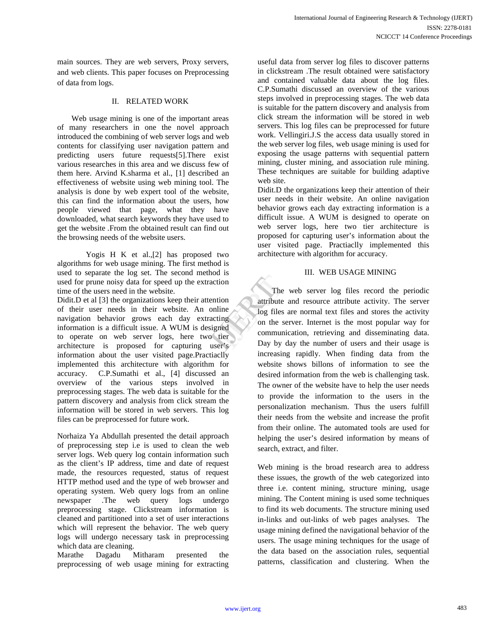main sources. They are web servers, Proxy servers, and web clients. This paper focuses on Preprocessing of data from logs.

## II. RELATED WORK

Web usage mining is one of the important areas of many researchers in one the novel approach introduced the combining of web server logs and web contents for classifying user navigation pattern and predicting users future requests[5].There exist various researches in this area and we discuss few of them here. Arvind K.sharma et al., [1] described an effectiveness of website using web mining tool. The analysis is done by web expert tool of the website, this can find the information about the users, how people viewed that page, what they have downloaded, what search keywords they have used to get the website .From the obtained result can find out the browsing needs of the website users.

Yogis H K et al.,[2] has proposed two algorithms for web usage mining. The first method is used to separate the log set. The second method is used for prune noisy data for speed up the extraction time of the users need in the website.

Didit.D et al [3] the organizations keep their attention of their user needs in their website. An online navigation behavior grows each day extracting information is a difficult issue. A WUM is designed to operate on web server logs, here two tier architecture is proposed for capturing user's information about the user visited page.Practiaclly implemented this architecture with algorithm for accuracy. C.P.Sumathi et al., [4] discussed an overview of the various steps involved in preprocessing stages. The web data is suitable for the pattern discovery and analysis from click stream the information will be stored in web servers. This log files can be preprocessed for future work.

Norhaiza Ya Abdullah presented the detail approach of preprocessing step i.e is used to clean the web server logs. Web query log contain information such as the client's IP address, time and date of request made, the resources requested, status of request HTTP method used and the type of web browser and operating system. Web query logs from an online newspaper .The web query logs undergo preprocessing stage. Clickstream information is cleaned and partitioned into a set of user interactions which will represent the behavior. The web query logs will undergo necessary task in preprocessing which data are cleaning.

Marathe Dagadu Mitharam presented the preprocessing of web usage mining for extracting

useful data from server log files to discover patterns in clickstream .The result obtained were satisfactory and contained valuable data about the log files. C.P.Sumathi discussed an overview of the various steps involved in preprocessing stages. The web data is suitable for the pattern discovery and analysis from click stream the information will be stored in web servers. This log files can be preprocessed for future work. Vellingiri.J.S the access data usually stored in the web server log files, web usage mining is used for exposing the usage patterns with sequential pattern mining, cluster mining, and association rule mining. These techniques are suitable for building adaptive web site.

Didit.D the organizations keep their attention of their user needs in their website. An online navigation behavior grows each day extracting information is a difficult issue. A WUM is designed to operate on web server logs, here two tier architecture is proposed for capturing user's information about the user visited page. Practiaclly implemented this architecture with algorithm for accuracy.

### III. WEB USAGE MINING

The web server log files record the periodic attribute and resource attribute activity. The server log files are normal text files and stores the activity on the server. Internet is the most popular way for communication, retrieving and disseminating data. Day by day the number of users and their usage is increasing rapidly. When finding data from the website shows billons of information to see the desired information from the web is challenging task. The owner of the website have to help the user needs to provide the information to the users in the personalization mechanism. Thus the users fulfill their needs from the website and increase the profit from their online. The automated tools are used for helping the user's desired information by means of search, extract, and filter. The v<br>
tion<br>
Internet<br>
Internet<br>
The v<br>
attribute and<br>
Internet<br>
Communication<br>
Communication<br>
Communication<br>
Day by da

> Web mining is the broad research area to address these issues, the growth of the web categorized into three i.e. content mining, structure mining, usage mining. The Content mining is used some techniques to find its web documents. The structure mining used in-links and out-links of web pages analyses. The usage mining defined the navigational behavior of the users. The usage mining techniques for the usage of the data based on the association rules, sequential patterns, classification and clustering. When the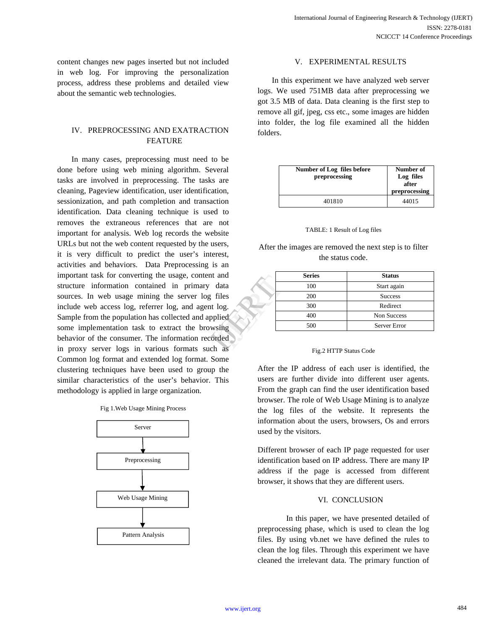content changes new pages inserted but not included in web log. For improving the personalization process, address these problems and detailed view about the semantic web technologies.

# IV. PREPROCESSING AND EXATRACTION FEATURE

In many cases, preprocessing must need to be done before using web mining algorithm. Several tasks are involved in preprocessing. The tasks are cleaning, Pageview identification, user identification, sessionization, and path completion and transaction identification. Data cleaning technique is used to removes the extraneous references that are not important for analysis. Web log records the website URLs but not the web content requested by the users, it is very difficult to predict the user's interest, activities and behaviors. Data Preprocessing is an important task for converting the usage, content and structure information contained in primary data sources. In web usage mining the server log files include web access log, referrer log, and agent log. Sample from the population has collected and applied some implementation task to extract the browsing behavior of the consumer. The information recorded in proxy server logs in various formats such as Common log format and extended log format. Some clustering techniques have been used to group the similar characteristics of the user's behavior. This methodology is applied in large organization. and<br>data<br>files<br>log.<br>lied<br>ising<br>ded

| Fig 1. Web Usage Mining Process |  |  |  |
|---------------------------------|--|--|--|
|---------------------------------|--|--|--|



# V. EXPERIMENTAL RESULTS

In this experiment we have analyzed web server logs. We used 751MB data after preprocessing we got 3.5 MB of data. Data cleaning is the first step to remove all gif, jpeg, css etc., some images are hidden into folder, the log file examined all the hidden folders.

| Number of Log files before<br>preprocessing | Number of<br>Log files<br>after<br>preprocessing |
|---------------------------------------------|--------------------------------------------------|
| 401810                                      | 44015                                            |

#### TABLE: 1 Result of Log files

After the images are removed the next step is to filter the status code.

| <b>Series</b> | <b>Status</b>  |  |
|---------------|----------------|--|
| 100           | Start again    |  |
| 200           | <b>Success</b> |  |
| 300           | Redirect       |  |
| 400           | Non Success    |  |
| 500           | Server Error   |  |

#### Fig.2 HTTP Status Code

After the IP address of each user is identified, the users are further divide into different user agents. From the graph can find the user identification based browser. The role of Web Usage Mining is to analyze the log files of the website. It represents the information about the users, browsers, Os and errors used by the visitors.

Different browser of each IP page requested for user identification based on IP address. There are many IP address if the page is accessed from different browser, it shows that they are different users.

#### VI. CONCLUSION

In this paper, we have presented detailed of preprocessing phase, which is used to clean the log files. By using vb.net we have defined the rules to clean the log files. Through this experiment we have cleaned the irrelevant data. The primary function of